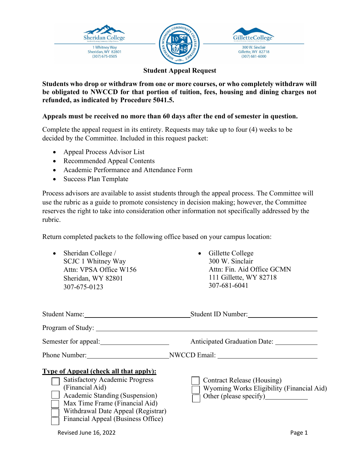





## **Student Appeal Request**

**Students who drop or withdraw from one or more courses, or who completely withdraw will be obligated to NWCCD for that portion of tuition, fees, housing and dining charges not refunded, as indicated by Procedure 5041.5.** 

## **Appeals must be received no more than 60 days after the end of semester in question.**

Complete the appeal request in its entirety. Requests may take up to four (4) weeks to be decided by the Committee. Included in this request packet:

- Appeal Process Advisor List
- Recommended Appeal Contents
- Academic Performance and Attendance Form
- Success Plan Template

Process advisors are available to assist students through the appeal process. The Committee will use the rubric as a guide to promote consistency in decision making; however, the Committee reserves the right to take into consideration other information not specifically addressed by the rubric.

Return completed packets to the following office based on your campus location:

| Sheridan College /<br>SCJC 1 Whitney Way<br>Attn: VPSA Office W156<br>Sheridan, WY 82801<br>307-675-0123                                                                                                                                                  | Gillette College<br>300 W. Sinclair<br>Attn: Fin. Aid Office GCMN<br>111 Gillette, WY 82718<br>307-681-6041 |
|-----------------------------------------------------------------------------------------------------------------------------------------------------------------------------------------------------------------------------------------------------------|-------------------------------------------------------------------------------------------------------------|
|                                                                                                                                                                                                                                                           |                                                                                                             |
|                                                                                                                                                                                                                                                           |                                                                                                             |
|                                                                                                                                                                                                                                                           | Anticipated Graduation Date:                                                                                |
|                                                                                                                                                                                                                                                           | Phone Number: NWCCD Email:                                                                                  |
| <b>Type of Appeal (check all that apply):</b><br><b>Satisfactory Academic Progress</b><br>(Financial Aid)<br>Academic Standing (Suspension)<br>Max Time Frame (Financial Aid)<br>Withdrawal Date Appeal (Registrar)<br>Financial Appeal (Business Office) | Contract Release (Housing)<br>Wyoming Works Eligibility (Financial Aid)<br>Other (please specify)           |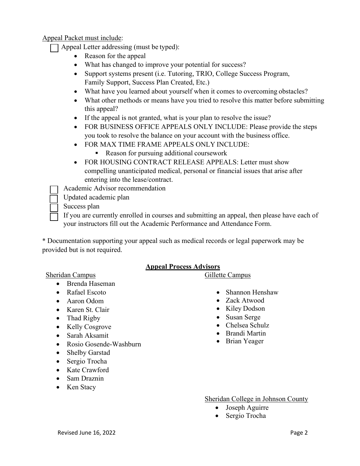Appeal Packet must include:

Appeal Letter addressing (must be typed):

- Reason for the appeal
- What has changed to improve your potential for success?
- Support systems present (i.e. Tutoring, TRIO, College Success Program, Family Support, Success Plan Created, Etc.)
- What have you learned about yourself when it comes to overcoming obstacles?
- What other methods or means have you tried to resolve this matter before submitting this appeal?
- If the appeal is not granted, what is your plan to resolve the issue?
- FOR BUSINESS OFFICE APPEALS ONLY INCLUDE: Please provide the steps you took to resolve the balance on your account with the business office.
- FOR MAX TIME FRAME APPEALS ONLY INCLUDE:
	- Reason for pursuing additional coursework
- FOR HOUSING CONTRACT RELEASE APPEALS: Letter must show compelling unanticipated medical, personal or financial issues that arise after entering into the lease/contract.

Academic Advisor recommendation

Updated academic plan

Success plan

 If you are currently enrolled in courses and submitting an appeal, then please have each of your instructors fill out the Academic Performance and Attendance Form.

\* Documentation supporting your appeal such as medical records or legal paperwork may be provided but is not required.

## **Appeal Process Advisors**

### Sheridan Campus Gillette Campus

- Brenda Haseman
- Rafael Escoto
- Aaron Odom
- Karen St. Clair
- Thad Rigby
- Kelly Cosgrove
- Sarah Aksamit
- Rosio Gosende-Washburn
- Shelby Garstad
- Sergio Trocha
- Kate Crawford
- Sam Draznin
- Ken Stacy

#### • Shannon Henshaw

- Zack Atwood
- Kiley Dodson
- Susan Serge
- Chelsea Schulz
- Brandi Martin
- Brian Yeager

Sheridan College in Johnson County

- Joseph Aguirre
- Sergio Trocha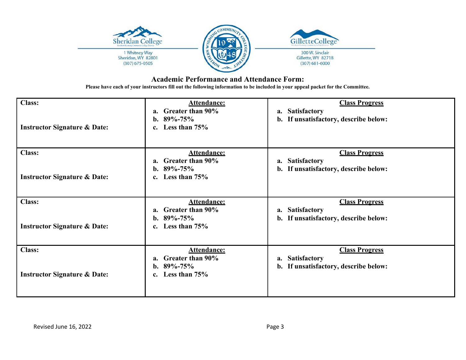

#### **Academic Performance and Attendance Form:**

**Please have each of your instructors fill out the following information to be included in your appeal packet for the Committee.**

| <b>Class:</b><br><b>Instructor Signature &amp; Date:</b> | <b>Attendance:</b><br>Greater than 90%<br>a.<br>b. $89\% - 75\%$<br>Less than $75%$<br>$c_{\cdot}$      | <b>Class Progress</b><br><b>Satisfactory</b><br>a.<br>b. If unsatisfactory, describe below:                |
|----------------------------------------------------------|---------------------------------------------------------------------------------------------------------|------------------------------------------------------------------------------------------------------------|
| <b>Class:</b><br><b>Instructor Signature &amp; Date:</b> | <b>Attendance:</b><br>Greater than 90%<br>$a_{\cdot}$<br>b. $89\% - 75\%$<br>Less than 75%<br>c.        | <b>Class Progress</b><br><b>Satisfactory</b><br>a.<br>If unsatisfactory, describe below:<br>b.             |
| <b>Class:</b><br><b>Instructor Signature &amp; Date:</b> | <b>Attendance:</b><br>Greater than 90%<br>a.<br>b. $89\% - 75\%$<br>Less than 75%<br>$c_{\cdot}$        | <b>Class Progress</b><br><b>Satisfactory</b><br>a.<br>If unsatisfactory, describe below:<br>b.             |
| <b>Class:</b><br><b>Instructor Signature &amp; Date:</b> | <b>Attendance:</b><br><b>Greater than 90%</b><br>a.<br>b. $89\% - 75\%$<br>Less than 75%<br>$c_{\cdot}$ | <b>Class Progress</b><br><b>Satisfactory</b><br>a.<br>If unsatisfactory, describe below:<br>$\mathbf{b}$ . |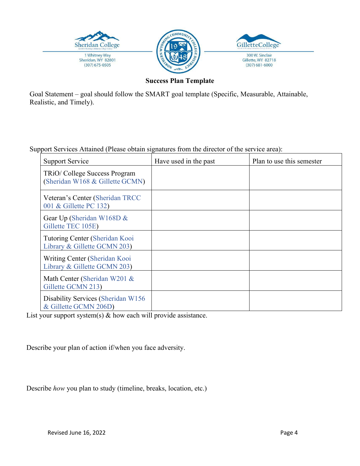

**Success Plan Template**

Goal Statement – goal should follow the SMART goal template (Specific, Measurable, Attainable, Realistic, and Timely).

Support Services Attained (Please obtain signatures from the director of the service area):

| Support Service                                                 | Have used in the past | Plan to use this semester |
|-----------------------------------------------------------------|-----------------------|---------------------------|
| TRiO/College Success Program<br>(Sheridan W168 & Gillette GCMN) |                       |                           |
| Veteran's Center (Sheridan TRCC<br>001 & Gillette PC 132)       |                       |                           |
| Gear Up (Sheridan W168D &<br>Gillette TEC 105E)                 |                       |                           |
| Tutoring Center (Sheridan Kooi<br>Library & Gillette GCMN 203)  |                       |                           |
| Writing Center (Sheridan Kooi<br>Library & Gillette GCMN 203)   |                       |                           |
| Math Center (Sheridan W201 &<br>Gillette GCMN 213)              |                       |                           |
| Disability Services (Sheridan W156<br>& Gillette GCMN 206D)     |                       |                           |

List your support system(s) & how each will provide assistance.

Describe your plan of action if/when you face adversity.

Describe *how* you plan to study (timeline, breaks, location, etc.)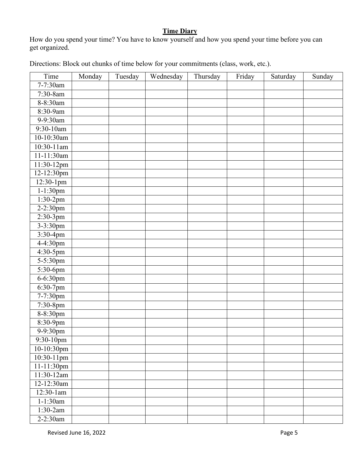# **Time Diary**

How do you spend your time? You have to know yourself and how you spend your time before you can get organized.

|  |  | Directions: Block out chunks of time below for your commitments (class, work, etc.). |  |  |
|--|--|--------------------------------------------------------------------------------------|--|--|

| Time            | Monday | Tuesday | Wednesday | Thursday | Friday | Saturday | Sunday |
|-----------------|--------|---------|-----------|----------|--------|----------|--------|
| 7-7:30am        |        |         |           |          |        |          |        |
| 7:30-8am        |        |         |           |          |        |          |        |
| 8-8:30am        |        |         |           |          |        |          |        |
| 8:30-9am        |        |         |           |          |        |          |        |
| 9-9:30am        |        |         |           |          |        |          |        |
| $9:30-10$ am    |        |         |           |          |        |          |        |
| 10-10:30am      |        |         |           |          |        |          |        |
| $10:30-11$ am   |        |         |           |          |        |          |        |
| $11 - 11:30$ am |        |         |           |          |        |          |        |
| 11:30-12pm      |        |         |           |          |        |          |        |
| 12-12:30pm      |        |         |           |          |        |          |        |
| 12:30-1pm       |        |         |           |          |        |          |        |
| $1 - 1:30$ pm   |        |         |           |          |        |          |        |
| 1:30-2pm        |        |         |           |          |        |          |        |
| $2 - 2:30$ pm   |        |         |           |          |        |          |        |
| $2:30-3pm$      |        |         |           |          |        |          |        |
| $3 - 3:30$ pm   |        |         |           |          |        |          |        |
| $3:30-4pm$      |        |         |           |          |        |          |        |
| 4-4:30pm        |        |         |           |          |        |          |        |
| $4:30-5$ pm     |        |         |           |          |        |          |        |
| 5-5:30pm        |        |         |           |          |        |          |        |
| 5:30-6pm        |        |         |           |          |        |          |        |
| 6-6:30pm        |        |         |           |          |        |          |        |
| $6:30-7$ pm     |        |         |           |          |        |          |        |
| 7-7:30pm        |        |         |           |          |        |          |        |
| 7:30-8pm        |        |         |           |          |        |          |        |
| 8-8:30pm        |        |         |           |          |        |          |        |
| $8:30-9$ pm     |        |         |           |          |        |          |        |
| 9-9:30pm        |        |         |           |          |        |          |        |
| 9:30-10pm       |        |         |           |          |        |          |        |
| 10-10:30pm      |        |         |           |          |        |          |        |
| 10:30-11pm      |        |         |           |          |        |          |        |
| 11-11:30pm      |        |         |           |          |        |          |        |
| 11:30-12am      |        |         |           |          |        |          |        |
| 12-12:30am      |        |         |           |          |        |          |        |
| $12:30-1am$     |        |         |           |          |        |          |        |
| $1-1:30$ am     |        |         |           |          |        |          |        |
| $1:30-2am$      |        |         |           |          |        |          |        |
| $2 - 2:30$ am   |        |         |           |          |        |          |        |